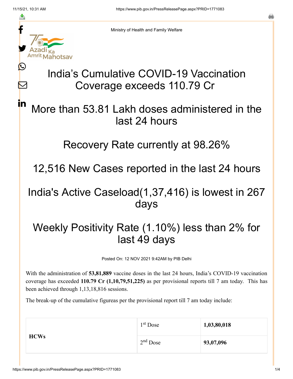≛

Ŀ

 $\boldsymbol{\mathsf{M}}$ 

in



Ministry of Health and Family Welfare

# India's Cumulative COVID-19 Vaccination Coverage exceeds 110.79 Cr

### More than 53.81 Lakh doses administered in the last 24 hours

#### Recovery Rate currently at 98.26%

12,516 New Cases reported in the last 24 hours

### India's Active Caseload(1,37,416) is lowest in 267 days

## Weekly Positivity Rate (1.10%) less than 2% for last 49 days

Posted On: 12 NOV 2021 9:42AM by PIB Delhi

With the administration of **53,81,889** vaccine doses in the last 24 hours, India's COVID-19 vaccination coverage has exceeded **110.79 Cr (1,10,79,51,225)** as per provisional reports till 7 am today. This has been achieved through 1,13,18,816 sessions.

The break-up of the cumulative figureas per the provisional report till 7 am today include:

| <b>HCWs</b> | $1st$ Dose | 1,03,80,018 |
|-------------|------------|-------------|
|             | $2nd$ Dose | 93,07,096   |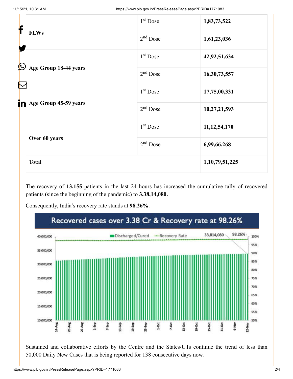| f            |                       | 1 <sup>st</sup> Dose | 1,83,73,522        |
|--------------|-----------------------|----------------------|--------------------|
|              | <b>FLWs</b>           | $2nd$ Dose           | 1,61,23,036        |
| $\bf \Omega$ |                       | $1st$ Dose           | 42,92,51,634       |
|              | Age Group 18-44 years | $2nd$ Dose           | 16,30,73,557       |
|              |                       | $1st$ Dose           | 17,75,00,331       |
| in           | Age Group 45-59 years | $2nd$ Dose           | 10,27,21,593       |
|              |                       | $1st$ Dose           | 11, 12, 54, 170    |
|              | Over 60 years         | $2nd$ Dose           | 6,99,66,268        |
|              | <b>Total</b>          |                      | 1, 10, 79, 51, 225 |

The recovery of **13,155** patients in the last 24 hours has increased the cumulative tally of recovered patients (since the beginning of the pandemic) to **3,38,14,080.**

Consequently, India's recovery rate stands at **98.26%**.



Sustained and collaborative efforts by the Centre and the States/UTs continue the trend of less than 50,000 Daily New Cases that is being reported for 138 consecutive days now.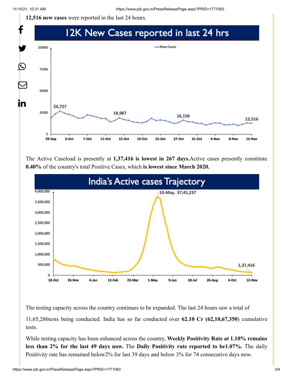**12,516 new cases** were reported in the last 24 hours.



The Active Caseload is presently at **1,37,416 is lowest in 267 days.**Active cases presently constitute **0.40%** of the country's total Positive Cases, which **is lowest since March 2020.**



The testing capacity across the country continues to be expanded. The last 24 hours saw a total of

11,65,286tests being conducted. India has so far conducted over **62.10 Cr (62,10,67,350**) cumulative tests.

While testing capacity has been enhanced across the country, **Weekly Positivity Rate at 1.10% remains less than 2% for the last 49 days now.** The **Daily Positivity rate reported to be1.07%.** The daily Positivity rate has remained below2% for last 39 days and below 3% for 74 consecutive days now.